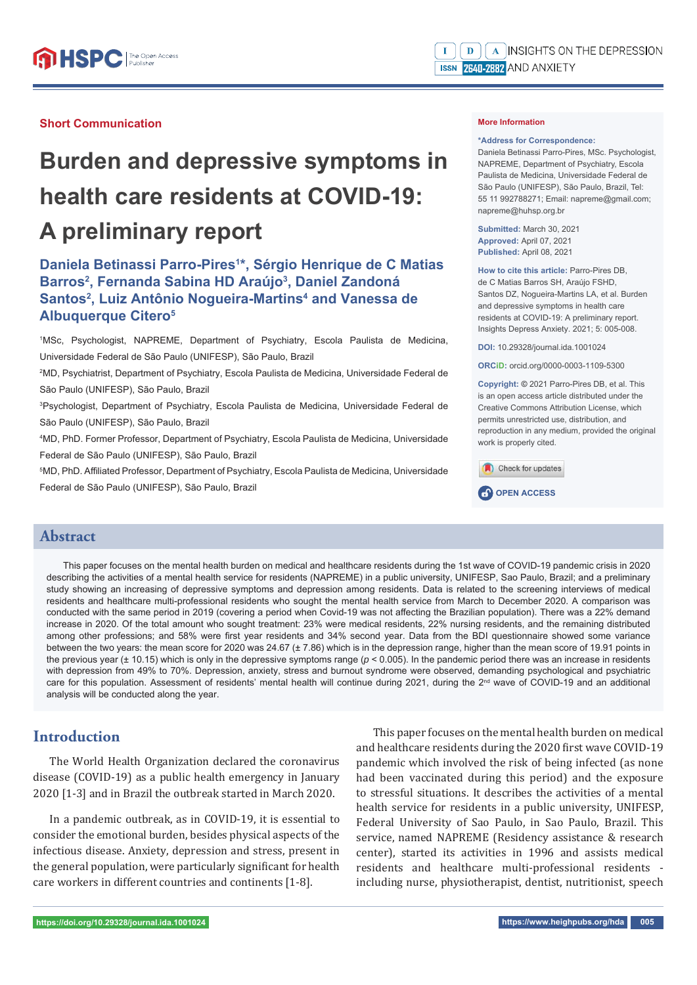#### **Short Communication**

# **Burden and depressive symptoms in health care residents at COVID-19: A preliminary report**

## **Daniela Betinassi Parro-Pires1 \*, Sérgio Henrique de C Matias**  Barros<sup>2</sup>, Fernanda Sabina HD Araújo<sup>3</sup>, Daniel Zandoná Santos<sup>2</sup>, Luiz Antônio Nogueira-Martins<sup>4</sup> and Vanessa de **Albuquerque Citero5**

1 MSc, Psychologist, NAPREME, Department of Psychiatry, Escola Paulista de Medicina, Universidade Federal de São Paulo (UNIFESP), São Paulo, Brazil

2 MD, Psychiatrist, Department of Psychiatry, Escola Paulista de Medicina, Universidade Federal de São Paulo (UNIFESP), São Paulo, Brazil

3 Psychologist, Department of Psychiatry, Escola Paulista de Medicina, Universidade Federal de São Paulo (UNIFESP), São Paulo, Brazil

4 MD, PhD. Former Professor, Department of Psychiatry, Escola Paulista de Medicina, Universidade Federal de São Paulo (UNIFESP), São Paulo, Brazil

5 MD, PhD. Affi liated Professor, Department of Psychiatry, Escola Paulista de Medicina, Universidade Federal de São Paulo (UNIFESP), São Paulo, Brazil

#### **More Information**

#### **\*Address for Correspondence:**

Daniela Betinassi Parro-Pires, MSc. Psychologist, NAPREME, Department of Psychiatry, Escola Paulista de Medicina, Universidade Federal de São Paulo (UNIFESP), São Paulo, Brazil, Tel: 55 11 992788271; Email: napreme@gmail.com; napreme@huhsp.org.br

**Submitted:** March 30, 2021 **Approved:** April 07, 2021 **Published:** April 08, 2021

**How to cite this article:** Parro-Pires DB, de C Matias Barros SH, Araújo FSHD, Santos DZ, Nogueira-Martins LA, et al. Burden and depressive symptoms in health care residents at COVID-19: A preliminary report. Insights Depress Anxiety. 2021; 5: 005-008.

**DOI:** 10.29328/journal.ida.1001024

**ORCiD:** orcid.org/0000-0003-1109-5300

**Copyright: ©** 2021 Parro-Pires DB, et al. This is an open access article distributed under the Creative Commons Attribution License, which permits unrestricted use, distribution, and reproduction in any medium, provided the original work is properly cited.



## **CP** OPEN ACCESS

#### **Abstract**

This paper focuses on the mental health burden on medical and healthcare residents during the 1st wave of COVID-19 pandemic crisis in 2020 describing the activities of a mental health service for residents (NAPREME) in a public university, UNIFESP, Sao Paulo, Brazil; and a preliminary study showing an increasing of depressive symptoms and depression among residents. Data is related to the screening interviews of medical residents and healthcare multi-professional residents who sought the mental health service from March to December 2020. A comparison was conducted with the same period in 2019 (covering a period when Covid-19 was not affecting the Brazilian population). There was a 22% demand increase in 2020. Of the total amount who sought treatment: 23% were medical residents, 22% nursing residents, and the remaining distributed among other professions; and 58% were first year residents and 34% second year. Data from the BDI questionnaire showed some variance between the two years: the mean score for 2020 was 24.67 (± 7.86) which is in the depression range, higher than the mean score of 19.91 points in the previous year ( $\pm$  10.15) which is only in the depressive symptoms range ( $p$  < 0.005). In the pandemic period there was an increase in residents with depression from 49% to 70%. Depression, anxiety, stress and burnout syndrome were observed, demanding psychological and psychiatric care for this population. Assessment of residents' mental health will continue during 2021, during the 2<sup>nd</sup> wave of COVID-19 and an additional analysis will be conducted along the year.

### **Introduction**

The World Health Organization declared the coronavirus disease (COVID-19) as a public health emergency in January 2020 [1-3] and in Brazil the outbreak started in March 2020.

In a pandemic outbreak, as in COVID-19, it is essential to consider the emotional burden, besides physical aspects of the infectious disease. Anxiety, depression and stress, present in the general population, were particularly significant for health care workers in different countries and continents [1-8].

This paper focuses on the mental health burden on medical and healthcare residents during the 2020 first wave COVID-19 pandemic which involved the risk of being infected (as none had been vaccinated during this period) and the exposure to stressful situations. It describes the activities of a mental health service for residents in a public university, UNIFESP, Federal University of Sao Paulo, in Sao Paulo, Brazil. This service, named NAPREME (Residency assistance & research center), started its activities in 1996 and assists medical residents and healthcare multi-professional residents including nurse, physiotherapist, dentist, nutritionist, speech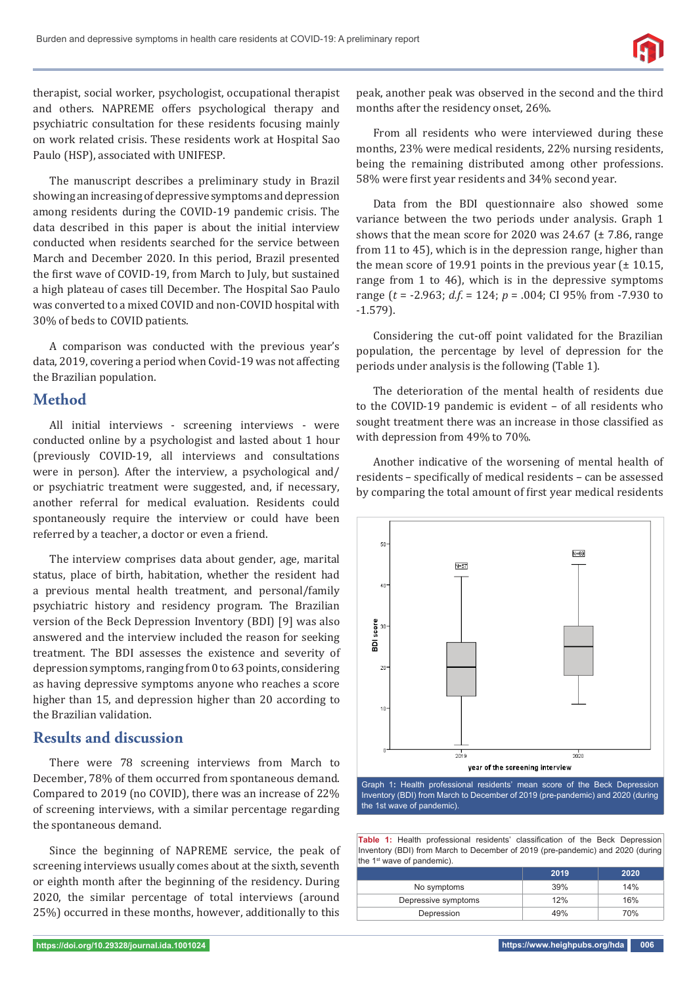

therapist, social worker, psychologist, occupational therapist and others. NAPREME offers psychological therapy and psychiatric consultation for these residents focusing mainly on work related crisis. These residents work at Hospital Sao Paulo (HSP), associated with UNIFESP.

The manuscript describes a preliminary study in Brazil showing an increasing of depressive symptoms and depression among residents during the COVID-19 pandemic crisis. The data described in this paper is about the initial interview conducted when residents searched for the service between March and December 2020. In this period, Brazil presented the first wave of COVID-19, from March to July, but sustained a high plateau of cases till December. The Hospital Sao Paulo was converted to a mixed COVID and non-COVID hospital with 30% of beds to COVID patients.

A comparison was conducted with the previous year's data, 2019, covering a period when Covid-19 was not affecting the Brazilian population.

#### **Method**

All initial interviews - screening interviews - were conducted online by a psychologist and lasted about 1 hour (previously COVID-19, all interviews and consultations were in person). After the interview, a psychological and/ or psychiatric treatment were suggested, and, if necessary, another referral for medical evaluation. Residents could spontaneously require the interview or could have been referred by a teacher, a doctor or even a friend.

The interview comprises data about gender, age, marital status, place of birth, habitation, whether the resident had a previous mental health treatment, and personal/family psychiatric history and residency program. The Brazilian version of the Beck Depression Inventory (BDI) [9] was also answered and the interview included the reason for seeking treatment. The BDI assesses the existence and severity of depression symptoms, ranging from 0 to 63 points, considering as having depressive symptoms anyone who reaches a score higher than 15, and depression higher than 20 according to the Brazilian validation.

#### **Results and discussion**

There were 78 screening interviews from March to December, 78% of them occurred from spontaneous demand. Compared to 2019 (no COVID), there was an increase of 22% of screening interviews, with a similar percentage regarding the spontaneous demand.

Since the beginning of NAPREME service, the peak of screening interviews usually comes about at the sixth, seventh or eighth month after the beginning of the residency. During 2020, the similar percentage of total interviews (around 25%) occurred in these months, however, additionally to this

peak, another peak was observed in the second and the third months after the residency onset, 26%.

From all residents who were interviewed during these months, 23% were medical residents, 22% nursing residents, being the remaining distributed among other professions. 58% were first year residents and 34% second year.

Data from the BDI questionnaire also showed some variance between the two periods under analysis. Graph 1 shows that the mean score for 2020 was 24.67 ( $\pm$  7.86, range from 11 to 45), which is in the depression range, higher than the mean score of 19.91 points in the previous year  $(\pm 10.15,$ range from 1 to 46), which is in the depressive symptoms range (*t* = -2.963; *d.f*. = 124; *p* = .004; CI 95% from -7.930 to -1.579).

Considering the cut-off point validated for the Brazilian population, the percentage by level of depression for the periods under analysis is the following (Table 1).

The deterioration of the mental health of residents due to the COVID-19 pandemic is evident – of all residents who sought treatment there was an increase in those classified as with depression from 49% to 70%.

Another indicative of the worsening of mental health of residents - specifically of medical residents - can be assessed by comparing the total amount of first year medical residents



Graph 1**:** Health professional residents' mean score of the Beck Depression Inventory (BDI) from March to December of 2019 (pre-pandemic) and 2020 (during the 1st wave of pandemic).

Table 1: Health professional residents' classification of the Beck Depression Inventory (BDI) from March to December of 2019 (pre-pandemic) and 2020 (during the 1<sup>st</sup> wave of pandemic).

|                     | 2019 | 2020 |
|---------------------|------|------|
| No symptoms         | 39%  | 14%  |
| Depressive symptoms | 12%  | 16%  |
| Depression          | 49%  | 70%  |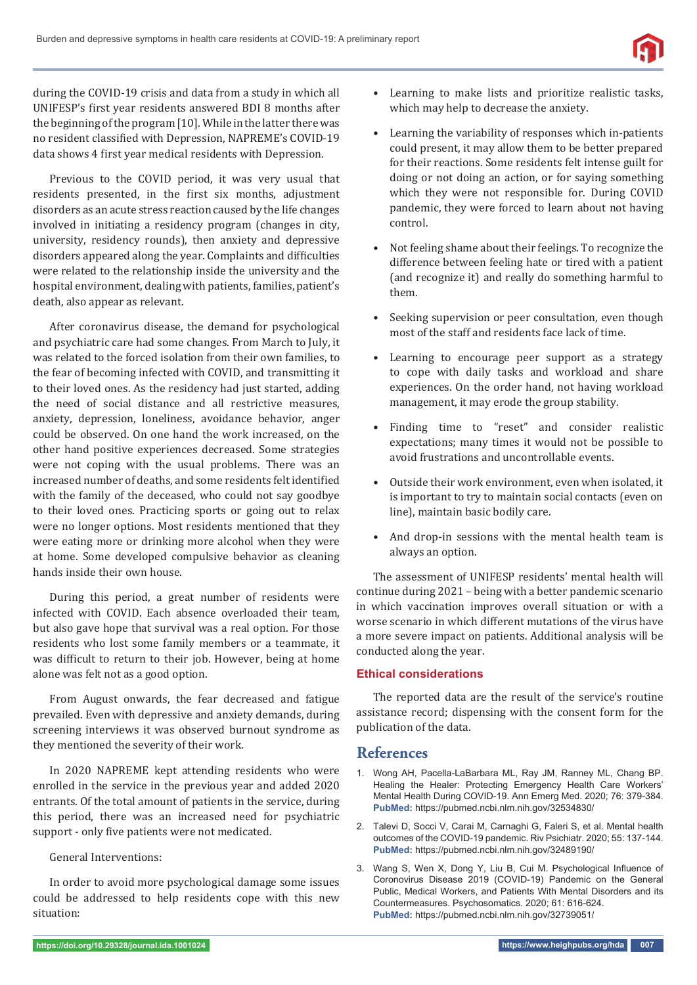

during the COVID-19 crisis and data from a study in which all UNIFESP's ϐirst year residents answered BDI 8 months after the beginning of the program [10]. While in the latter there was no resident classified with Depression, NAPREME's COVID-19 data shows 4 first year medical residents with Depression.

Previous to the COVID period, it was very usual that residents presented, in the first six months, adjustment disorders as an acute stress reaction caused by the life changes involved in initiating a residency program (changes in city, university, residency rounds), then anxiety and depressive disorders appeared along the year. Complaints and difficulties were related to the relationship inside the university and the hospital environment, dealing with patients, families, patient's death, also appear as relevant.

After coronavirus disease, the demand for psychological and psychiatric care had some changes. From March to July, it was related to the forced isolation from their own families, to the fear of becoming infected with COVID, and transmitting it to their loved ones. As the residency had just started, adding the need of social distance and all restrictive measures, anxiety, depression, loneliness, avoidance behavior, anger could be observed. On one hand the work increased, on the other hand positive experiences decreased. Some strategies were not coping with the usual problems. There was an increased number of deaths, and some residents felt identified with the family of the deceased, who could not say goodbye to their loved ones. Practicing sports or going out to relax were no longer options. Most residents mentioned that they were eating more or drinking more alcohol when they were at home. Some developed compulsive behavior as cleaning hands inside their own house.

During this period, a great number of residents were infected with COVID. Each absence overloaded their team, but also gave hope that survival was a real option. For those residents who lost some family members or a teammate, it was difficult to return to their job. However, being at home alone was felt not as a good option.

From August onwards, the fear decreased and fatigue prevailed. Even with depressive and anxiety demands, during screening interviews it was observed burnout syndrome as they mentioned the severity of their work.

In 2020 NAPREME kept attending residents who were enrolled in the service in the previous year and added 2020 entrants. Of the total amount of patients in the service, during this period, there was an increased need for psychiatric support - only five patients were not medicated.

General Interventions:

In order to avoid more psychological damage some issues could be addressed to help residents cope with this new situation:

- Learning to make lists and prioritize realistic tasks, which may help to decrease the anxiety.
- Learning the variability of responses which in-patients could present, it may allow them to be better prepared for their reactions. Some residents felt intense guilt for doing or not doing an action, or for saying something which they were not responsible for. During COVID pandemic, they were forced to learn about not having control.
- Not feeling shame about their feelings. To recognize the difference between feeling hate or tired with a patient (and recognize it) and really do something harmful to them.
- Seeking supervision or peer consultation, even though most of the staff and residents face lack of time.
- Learning to encourage peer support as a strategy to cope with daily tasks and workload and share experiences. On the order hand, not having workload management, it may erode the group stability.
- Finding time to "reset" and consider realistic expectations; many times it would not be possible to avoid frustrations and uncontrollable events.
- Outside their work environment, even when isolated, it is important to try to maintain social contacts (even on line), maintain basic bodily care.
- And drop-in sessions with the mental health team is always an option.

The assessment of UNIFESP residents' mental health will continue during 2021 – being with a better pandemic scenario in which vaccination improves overall situation or with a worse scenario in which different mutations of the virus have a more severe impact on patients. Additional analysis will be conducted along the year.

#### **Ethical considerations**

The reported data are the result of the service's routine assistance record; dispensing with the consent form for the publication of the data.

#### **References**

- 1. Wong AH, Pacella-LaBarbara ML, Ray JM, Ranney ML, Chang BP. Healing the Healer: Protecting Emergency Health Care Workers' Mental Health During COVID-19. Ann Emerg Med. 2020; 76: 379-384. **PubMed:** https://pubmed.ncbi.nlm.nih.gov/32534830/
- 2. Talevi D, Socci V, Carai M, Carnaghi G, Faleri S, et al. Mental health outcomes of the COVID-19 pandemic. Riv Psichiatr. 2020; 55: 137-144. **PubMed:** https://pubmed.ncbi.nlm.nih.gov/32489190/
- 3. Wang S, Wen X, Dong Y, Liu B, Cui M. Psychological Influence of Coronovirus Disease 2019 (COVID-19) Pandemic on the General Public, Medical Workers, and Patients With Mental Disorders and its Countermeasures. Psychosomatics. 2020; 61: 616-624. **PubMed:** https://pubmed.ncbi.nlm.nih.gov/32739051/